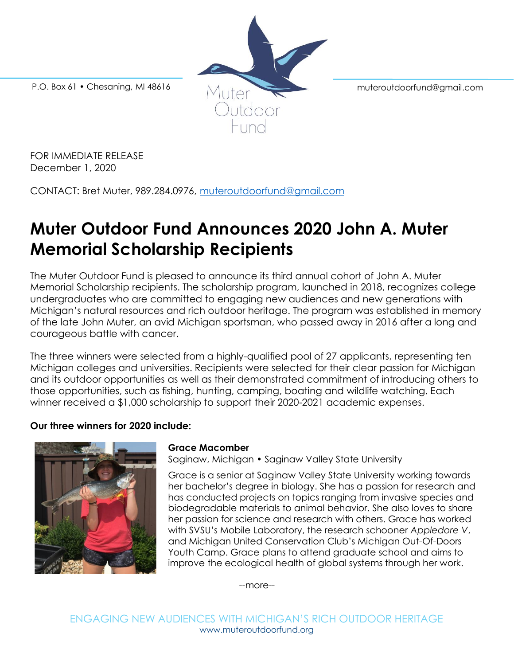

FOR IMMEDIATE RELEASE December 1, 2020

CONTACT: Bret Muter, 989.284.0976, [muteroutdoorfund@gmail.com](mailto:muteroutdoorfund@gmail.com)

# **Muter Outdoor Fund Announces 2020 John A. Muter Memorial Scholarship Recipients**

The Muter Outdoor Fund is pleased to announce its third annual cohort of John A. Muter Memorial Scholarship recipients. The scholarship program, launched in 2018, recognizes college undergraduates who are committed to engaging new audiences and new generations with Michigan's natural resources and rich outdoor heritage. The program was established in memory of the late John Muter, an avid Michigan sportsman, who passed away in 2016 after a long and courageous battle with cancer.

The three winners were selected from a highly-qualified pool of 27 applicants, representing ten Michigan colleges and universities. Recipients were selected for their clear passion for Michigan and its outdoor opportunities as well as their demonstrated commitment of introducing others to those opportunities, such as fishing, hunting, camping, boating and wildlife watching. Each winner received a \$1,000 scholarship to support their 2020-2021 academic expenses.

# **Our three winners for 2020 include:**



# **Grace Macomber**

Saginaw, Michigan • Saginaw Valley State University

Grace is a senior at Saginaw Valley State University working towards her bachelor's degree in biology. She has a passion for research and has conducted projects on topics ranging from invasive species and biodegradable materials to animal behavior. She also loves to share her passion for science and research with others. Grace has worked with SVSU's Mobile Laboratory, the research schooner *Appledore V*, and Michigan United Conservation Club's Michigan Out-Of-Doors Youth Camp. Grace plans to attend graduate school and aims to improve the ecological health of global systems through her work.

--more--